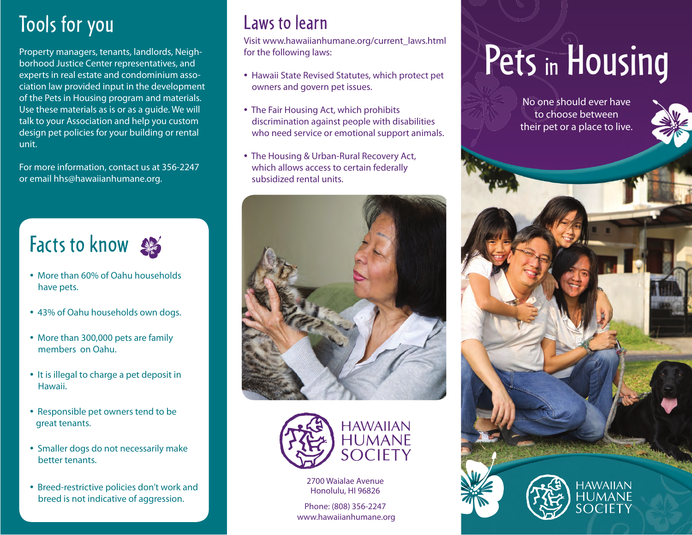## Tools for you

Property managers, tenants, landlords, Neighborhood Justice Center representatives, and experts in real estate and condominium association law provided input in the development of the Pets in Housing program and materials. Use these materials as is or as a guide. We will talk to your Association and help you custom design pet policies for your building or rental unit.

For more information, contact us at 356-2247 or email hhs@hawaiianhumane.org.

## Facts to know

- More than 60% of Oahu households have pets.
- 43% of Oahu households own dogs.
- More than 300,000 pets are family members on Oahu.
- It is illegal to charge a pet deposit in Hawaii.
- Responsible pet owners tend to be great tenants.
- Smaller dogs do not necessarily make better tenants.
- Breed-restrictive policies don't work and breed is not indicative of aggression.

## Laws to learn

Visit www.hawaiianhumane.org/current\_laws.html for the following laws:

- Hawaii State Revised Statutes, which protect pet owners and govern pet issues.
- The Fair Housing Act, which prohibits discrimination against people with disabilities who need service or emotional support animals.
- The Housing & Urban-Rural Recovery Act, which allows access to certain federally subsidized rental units.





2700 Waialae Avenue Honolulu, HI 96826

Phone: (808) 356-2247 www.hawaiianhumane.org

# Pets in Housing

No one should ever have to choose between their pet or a place to live.